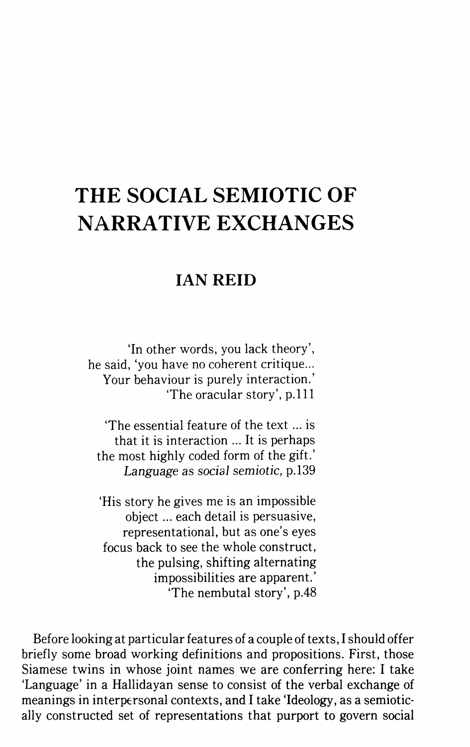## **THE SOCIAL SEMIOTIC OF NARRATIVE EXCHANGES**

## **IAN REID**

'In other words, you lack theory', he said, 'you have no coherent critique... Your behaviour is purely interaction.' 'The oracular story', p.lll

'The essential feature of the text ... is that it is interaction ... It is perhaps the most highly coded form of the gift.' Language as social semiotic, p.l39

'His story he gives me is an impossible object ... each detail is persuasive, representational, but as one's eyes focus back to see the whole construct, the pulsing, shifting alternating impossibilities are apparent.' 'The nembutal story', p.48

Before looking at particular features of a couple of texts, I should offer briefly some broad working definitions and propositions. First, those Siamese twins in whose joint names we are conferring here: I take 'Language' in a Hallidayan sense to consist of the verbal exchange of meanings in interpersonal contexts, and I take 'Ideology, as a semiotically constructed set of representations that purport to govern social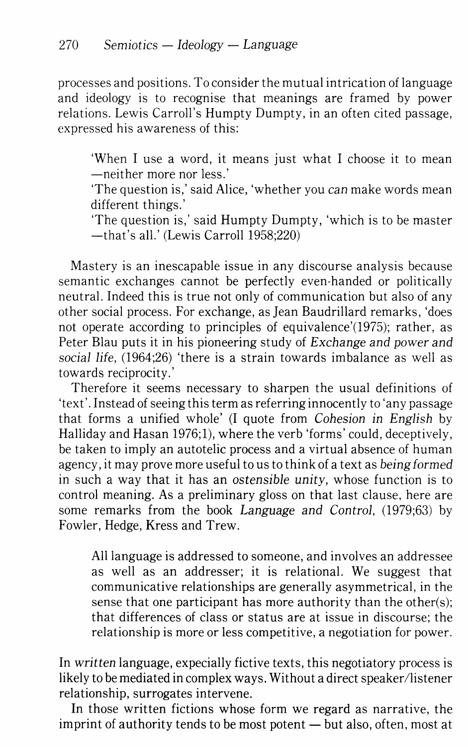processes and positions. To consider the mutual intrication of language and ideology is to recognise that meanings are framed by power relations. Lewis Carroll's Humpty Dumpty, in an often cited passage, expressed his awareness of this:

'When I use a word, it means just what I choose it to mean -neither more nor less.'

The question is,' said Alice, 'whether you can make words mean different things.'

'The question is,' said Humpty Dumpty, 'which is to be master -that's all.' (Lewis Carroll 1958;220)

Mastery is an inescapable issue in any discourse analysis because semantic exchanges cannot be perfectly even-handed or politically neutral. Indeed this is true not only of communication but also of any other social process. For exchange, as Jean Baudrillard remarks, 'does not operate according to principles of equivalence'(1975); rather, as Peter Blau puts it in his pioneering study of *Exchange and power and*  social *life,* (1964;26) 'there is a strain towards imbalance as well as towards reciprocity.'

Therefore it seems necessary to sharpen the usual definitions of 'text'. Instead of seeing this term as referring innocently to 'any passage that forms a unified whole' (I quote from Cohesion in *English* by Halliday and Hasan 1976;1), where the verb 'forms' could, deceptively, be taken to imply an autotelic process and a virtual absence of human agency, it may prove more useful to us to think of a text as being *formed*  in such a way that it has an *ostensible unity,* whose function is to control meaning. As a preliminary gloss on that last clause, here are some remarks from the book *Language and Control,* (1979;63) by Fowler, Hedge, Kress and Trew.

All language is addressed to someone, and involves an addressee as well as an addresser; it is relational. We suggest that communicative relationships are generally asymmetrical, in the sense that one participant has more authority than the other(s); that differences of class or status are at issue in discourse; the relationship is more or less competitive, a negotiation for power.

In *written* language, expecially fictive texts, this negotiatory process is likely to be mediated in complex ways. Without a direct speaker/listener relationship, surrogates intervene.

In those written fictions whose form we regard as narrative, the imprint of authority tends to be most potent  $-$  but also, often, most at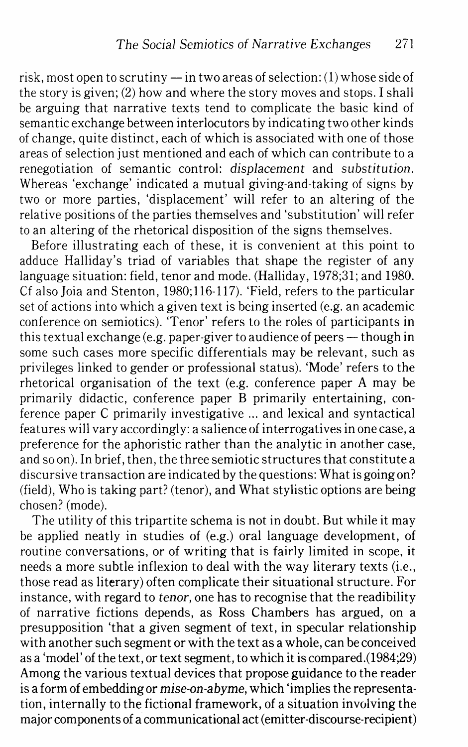risk, most open to scrutiny  $-$  in two areas of selection: (1) whose side of the story is given; (2) how and where the story moves and stops. I shall be arguing that narrative texts tend to complicate the basic kind of semantic exchange between interlocutors by indicating two other kinds of change, quite distinct, each of which is associated with one of those areas of selection just mentioned and each of which can contribute to a renegotiation of semantic control: *displacement* and *substitution.*  Whereas 'exchange' indicated a mutual giving-and-taking of signs by two or more parties, 'displacement' will refer to an altering of the relative positions of the parties themselves and 'substitution' will refer to an altering of the rhetorical disposition of the signs themselves.

Before illustrating each of these, it is convenient at this point to adduce Halliday's triad of variables that shape the register of any language situation: field, tenor and mode. (Halliday, 1978;31; and 1980. Cf also Joia and Stenton, 1980;116-117). 'Field, refers to the particular set of actions into which a given text is being inserted (e.g. an academic conference on semiotics). 'Tenor' refers to the roles of participants in this textual exchange (e.g. paper-giver to audience of peers  $-$  though in some such cases more specific differentials may be relevant, such as privileges linked to gender or professional status). 'Mode' refers to the rhetorical organisation of the text (e.g. conference paper A may be primarily didactic, conference paper B primarily entertaining, conference paper C primarily investigative ... and lexical and syntactical features will vary accordingly: a salience of interrogatives in one case, a preference for the aphoristic rather than the analytic in another case, and so on). In brief, then, the three semiotic structures that constitute a discursive transaction are indicated by the questions: What is going on? (field), Who is taking part? (tenor), and What stylistic options are being chosen? (mode).

The utility of this tripartite schema is not in doubt. But while it may be applied neatly in studies of (e.g.) oral language development, of routine conversations, or of writing that is fairly limited in scope, it needs a more subtle inflexion to deal with the way literary texts (i.e., those read as literary) often complicate their situational structure. For instance, with regard to *tenor,* one has to recognise that the readibility of narrative fictions depends, as Ross Chambers has argued, on a presupposition 'that a given segment of text, in specular relationship with another such segment or with the text as a whole, can be conceived as a 'model' of the text, or text segment, to which it is compared.(1984;29) Among the various textual devices that propose guidance to the reader is a form of embedding or *mise-on-abyme,* which 'implies the representation, internally to the fictional framework, of a situation involving the major components of a communicational act (emitter-discourse-recipient)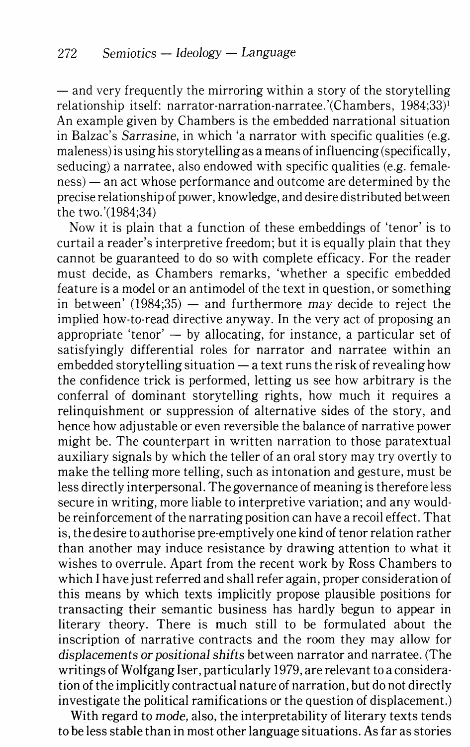$-$  and very frequently the mirroring within a story of the storytelling relationship itself: narrator-narration-narratee.'(Chambers, 1984;33)1 An example given by Chambers is the embedded narrational situation in Balzac's Sarrasine, in which 'a narrator with specific qualities (e.g. maleness) is using his storytelling as a means of influencing (specifically, seducing) a narratee, also endowed with specific qualities (e.g. femaleness) — an act whose performance and outcome are determined by the precise relationship of power, knowledge, and desire distributed between the two.'(1984;34)

Now it is plain that a function of these embeddings of 'tenor' is to curtail a reader's interpretive freedom; but it is equally plain that they cannot be guaranteed to do so with complete efficacy. For the reader must decide, as Chambers remarks, 'whether a specific embedded feature is a model or an antimodel of the text in question, or something in between'  $(1984;35)$  — and furthermore may decide to reject the implied how-to-read directive anyway. In the very act of proposing an appropriate 'tenor'  $-$  by allocating, for instance, a particular set of satisfyingly differential roles for narrator and narratee within an embedded storytelling situation  $-\frac{1}{x}$  a text runs the risk of revealing how the confidence trick is performed, letting us see how arbitrary is the conferral of dominant storytelling rights, how much it requires a relinquishment or suppression of alternative sides of the story, and hence how adjustable or even reversible the balance of narrative power might be. The counterpart in written narration to those paratextual auxiliary signals by which the teller of an oral story may try overtly to make the telling more telling, such as intonation and gesture, must be less directly interpersonal. The governance of meaning is therefore less secure in writing, more liable to interpretive variation; and any wouldbe reinforcement of the narrating position can have a recoil effect. That is, the desire to authorise pre-emptively one kind of tenor relation rather than another may induce resistance by drawing attention to what it wishes to overrule. Apart from the recent work by Ross Chambers to which I have just referred and shall refer again, proper consideration of this means by which texts implicitly propose plausible positions for transacting their semantic business has hardly begun to appear in literary theory. There is much still to be formulated about the inscription of narrative contracts and the room they may allow for *displacements or* positional *shifts* between narrator and narratee. (The writings of Wolfgang Iser, particularly 1979, are relevant to a consideration of the implicitly contractual nature of narration, but do not directly investigate the political ramifications or the question of displacement.)

With regard to *mode,* also, the interpretability of literary texts tends to be less stable than in most other language situations. As far as stories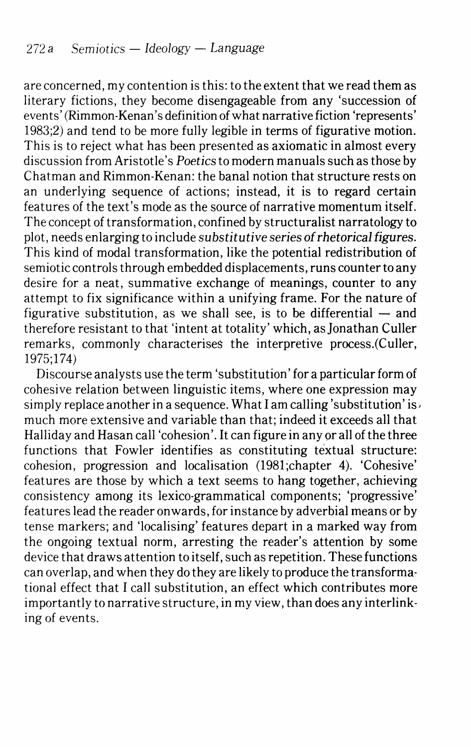are concerned, my contention is this: to the extent that we read them as literary fictions, they become disengageable from any 'succession of events' (Rimmon-Kenan's definition of what narrative fiction 'represents' 1983;2) and tend to be more fully legible in terms of figurative motion. This is to reject what has been presented as axiomatic in almost every discussion from Aristotle's *Poetics* to modern manuals such as those by Chatman and Rimmon-Kenan: the banal notion that structure rests on an underlying sequence of actions; instead, it is to regard certain features of the text's mode as the source of narrative momentum itself. The concept of transformation, confined by structuralist narratology to plot, needs enlarging to include *substitutive series of rhetorical figures.*  This kind of modal transformation, like the potential redistribution of semiotic controls through embedded displacements, runs counter to any desire for a neat, summative exchange of meanings, counter to any attempt to fix significance within a unifying frame. For the nature of figurative substitution, as we shall see, is to be differential  $-$  and therefore resistant to that 'intent at totality' which, as Jonathan Culler remarks, commonly characterises the interpretive process.(Culler, 1975;174)

Discourse analysts use the term 'substitution' for a particular form of cohesive relation between linguistic items, where one expression may simply replace another in a sequence. What I am calling 'substitution' is much more extensive and variable than that; indeed it exceeds all that Halliday and Hasan call 'cohesion'. It can figure in any or all of the three functions that Fowler identifies as constituting textual structure: cohesion, progression and localisation (1981;chapter 4). 'Cohesive' features are those by which a text seems to hang together, achieving consistency among its lexico-grammatical components; 'progressive' features lead the reader onwards, for instance by adverbial means or by tense markers; and 'localising' features depart in a marked way from the ongoing textual norm, arresting the reader's attention by some device that draws attention to itself, such as repetition. These functions can overlap, and when they do they are likely to produce the transformational effect that I call substitution, an effect which contributes more importantly to narrative structure, in my view, than does any interlinking of events.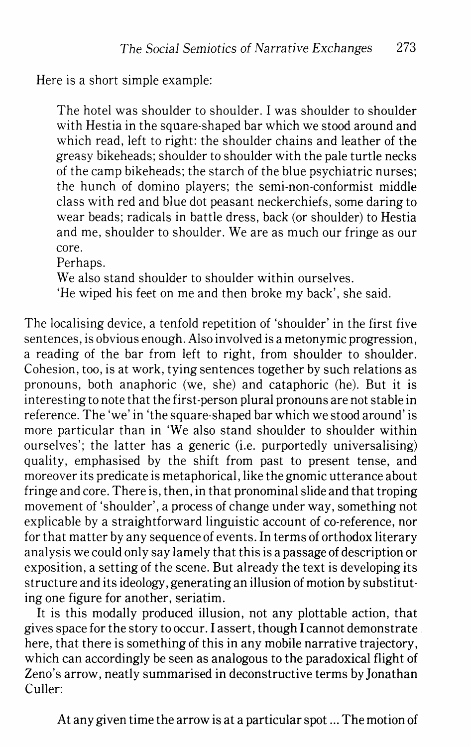Here is a short simple example:

The hotel was shoulder to shoulder. I was shoulder to shoulder with Hestia in the square-shaped bar which we stood around and which read, left to right: the shoulder chains and leather of the greasy bikeheads; shoulder to shoulder with the pale turtle necks of the camp bikeheads; the starch of the blue psychiatric nurses; the hunch of domino players; the semi-non-conformist middle class with red and blue dot peasant neckerchiefs, some daring to wear beads; radicals in battle dress, back (or shoulder) to Hestia and me, shoulder to shoulder. We are as much our fringe as our core.

Perhaps.

We also stand shoulder to shoulder within ourselves.

'He wiped his feet on me and then broke my back', she said.

The localising device, a tenfold repetition of 'shoulder' in the first five sentences, is obvious enough. Also involved is a metonymic progression, a reading of the bar from left to right, from shoulder to shoulder. Cohesion, too, is at work, tying sentences together by such relations as pronouns, both anaphoric (we, she) and cataphoric (he). But it is interesting to note that the first-person plural pronouns are not stable in reference. The 'we' in 'the square-shaped bar which we stood around' is more particular than in 'We also stand shoulder to shoulder within ourselves'; the latter has a generic (i.e. purportedly universalising) quality, emphasised by the shift from past to present tense, and moreover its predicate is metaphorical, like the gnomic utterance about fringe and core. There is, then, in that pronominal slide and that troping movement of 'shoulder', a process of change under way, something not explicable by a straightforward linguistic account of co-reference, nor for that matter by any sequence of events. In terms of orthodox literary analysis we could only say lamely that this is a passage of description or exposition, a setting of the scene. But already the text is developing its structure and its ideology, generating an illusion of motion by substituting one figure for another, seriatim.

It is this modally produced illusion, not any plottable action, that gives space for the story to occur\_ I assert, though I cannot demonstrate here, that there is something of this in any mobile narrative trajectory, which can accordingly be seen as analogous to the paradoxical flight of Zeno's arrow, neatly summarised in deconstructive terms by Jonathan Culler:

At any given time the arrow is at a particular spot ... The motion of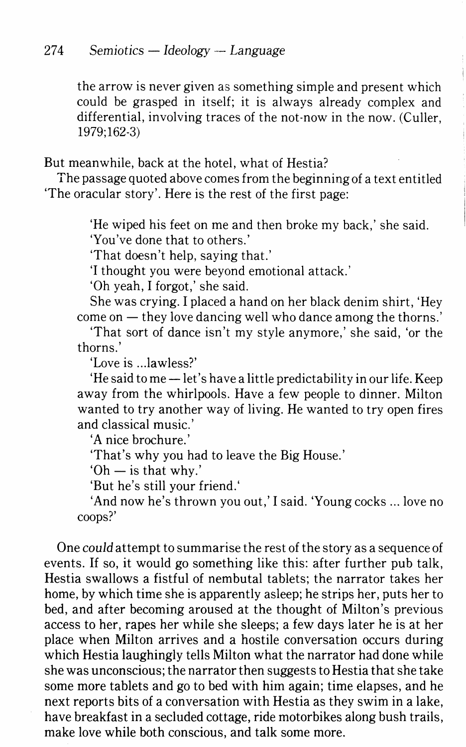the arrow is never given as something simple and present which could be grasped in itself; it is always already complex and differential, involving traces of the not-now in the now. (Culler, 1979;162-3)

But meanwhile, back at the hotel, what of Hestia?

The passage quoted above comes from the beginning of a text entitled 'The oracular story'. Here is the rest of the first page:

'He wiped his feet on me and then broke my back,' she said.

'You've done that to others.'

'That doesn't help, saying that.'

'I thought you were beyond emotional attack.'

'Oh yeah, I forgot,' she said.

She was crying. I placed a hand on her black denim shirt, 'Hey  $come on - they love \text{dancing well who} \text{dance among the thorns.}$ 

'That sort of dance isn't my style anymore,' she said, 'or the thorns.'

'Love is .. .lawless?'

'He said to me -let's have a little predictability in our life. Keep away from the whirlpools. Have a few people to dinner. Milton wanted to try another way of living. He wanted to try open fires and classical music.'

'A nice brochure.'

'That's why you had to leave the Big House.'

 $'Oh$  — is that why.'

'But he's still your friend.'

'And now he's thrown you out,' I said. 'Young cocks ... love no coops?'

One *could* attempt to summarise the rest of the story as a sequence of events. If so, it would go something like this: after further pub talk, Hestia swallows a fistful of nembutal tablets; the narrator takes her home, by which time she is apparently asleep; he strips her, puts her to bed, and after becoming aroused at the thought of Milton's previous access to her, rapes her while she sleeps; a few days later he is at her place when Milton arrives and a hostile conversation occurs during which Hestia laughingly tells Milton what the narrator had done while she was unconscious; the narrator then suggests to Hestia that she take some more tablets and go to bed with him again; time elapses, and he next reports bits of a conversation with Hestia as they swim in a lake, have breakfast in a secluded cottage, ride motorbikes along bush trails, make love while both conscious, and talk some more.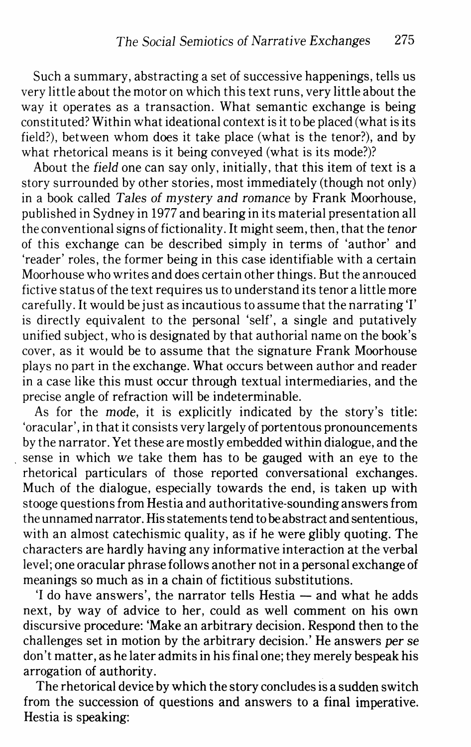Such a summary, abstracting a set of successive happenings, tells us very little about the motor on which this text runs, very little about the way it operates as a transaction. What semantic exchange is being constituted? Within what ideational context is it to be placed (what is its field?), between whom does it take place (what is the tenor?), and by what rhetorical means is it being conveyed (what is its mode?)?

About the field one can say only, initially, that this item of text is a story surrounded by other stories, most immediately (though not only) in a book called Tales of mystery and romance by Frank Moorhouse, published in Sydney in 1977 and bearing in its material presentation all the conventional signs of fictionality.lt might seem, then, that the tenor of this exchange can be described simply in terms of 'author' and 'reader' roles, the former being in this case identifiable with a certain Moorhouse who writes and does certain other things. But the annouced fictive status of the text requires us to understand its tenor a little more carefully.lt would be just as incautious to assume that the narrating 'I' is directly equivalent to the personal 'self', a single and putatively unified subject, who is designated by that authorial name on the book's cover, as it would be to assume that the signature Frank Moorhouse plays no part in the exchange. What occurs between author and reader in a case like this must occur through textual intermediaries, and the precise angle of refraction will be indeterminable.

As for the mode, it is explicitly indicated by the story's title: 'oracular', in that it consists very largely of portentous pronouncements by the narrator. Yet these are mostly embedded within dialogue, and the . sense in which we take them has to be gauged with an eye to the rhetorical particulars of those reported conversational exchanges. Much of the dialogue, especially towards the end, is taken up with stooge questions from Hestia and authoritative-sounding answers from the unnamed narrator. His statements tend to be abstract and sententious, with an almost catechismic quality, as if he were glibly quoting. The characters are hardly having any informative interaction at the verbal level; one oracular phrase follows another not in a personal exchange of meanings so much as in a chain of fictitious substitutions.

'I do have answers', the narrator tells  $Hestia$  - and what he adds next, by way of advice to her, could as well comment on his own discursive procedure: 'Make an arbitrary decision. Respond then to the challenges set in motion by the arbitrary decision.' He answers *per* se don't matter, as he later admits in his final one; they merely bespeak his arrogation of authority.

The rhetorical device by which the story concludes is a sudden switch from the succession of questions and answers to a final imperative. Hestia is speaking: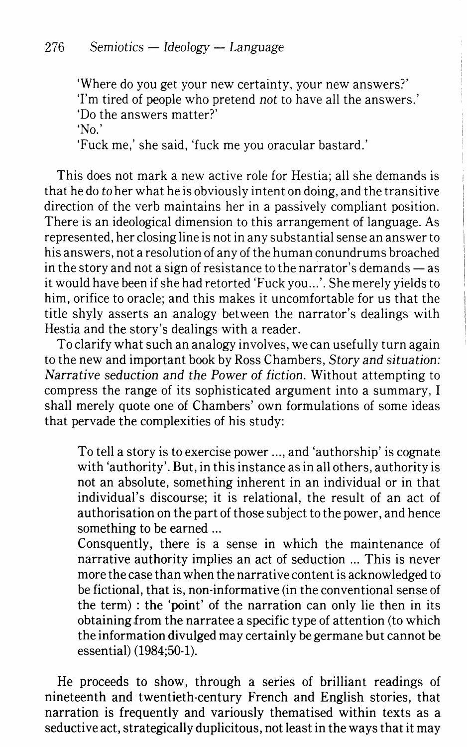'Where do you get your new certainty, your new answers?' 'I'm tired of people who pretend *not* to have all the answers.' 'Do the answers matter?'

'No.'

'Fuck me,' she said, 'fuck me you oracular bastard.'

This does not mark a new active role for Hestia; all she demands is that he do *to* her what he is obviously intent on doing, and the transitive direction of the verb maintains her in a passively compliant position. There is an ideological dimension to this arrangement of language. As represented, her closing line is not in any substantial sense an answer to his answers, not a resolution of any of the human conundrums broached in the story and not a sign of resistance to the narrator's demands  $-$  as it would have been if she had retorted 'Fuck you .. .'. She merely yields to him, orifice to oracle; and this makes it uncomfortable for us that the title shyly asserts an analogy between the narrator's dealings with Hestia and the story's dealings with a reader.

To clarify what such an analogy involves, we can usefully turn again to the new and important book by Ross Chambers, *Story and* situation: *Narrative* seduction *and the* Power *of* fiction. Without attempting to compress the range of its sophisticated argument into a summary, I shall merely quote one of Chambers' own formulations of some ideas that pervade the complexities of his study:

To tell a story is to exercise power ... , and 'authorship' is cognate with 'authority'. But, in this instance as in all others, authority is not an absolute, something inherent in an individual or in that individual's discourse; it is relational, the result of an act of authorisation on the part of those subject to the power, and hence something to be earned ...

Consquently, there is a sense in which the maintenance of narrative authority implies an act of seduction ... This is never more the case than when the narrative content is acknowledged to be fictional, that is, non-informative (in the conventional sense of the term) : the 'point' of the narration can only lie then in its obtaining from the narratee a specific type of attention (to which the information divulged may certainly be germane but cannot be essential) (1984;50-1).

He proceeds to show, through a series of brilliant readings of nineteenth and twentieth-century French and English stories, that narration is frequently and variously thematised within texts as a seductive act, strategically duplicitous, not least in the ways that it may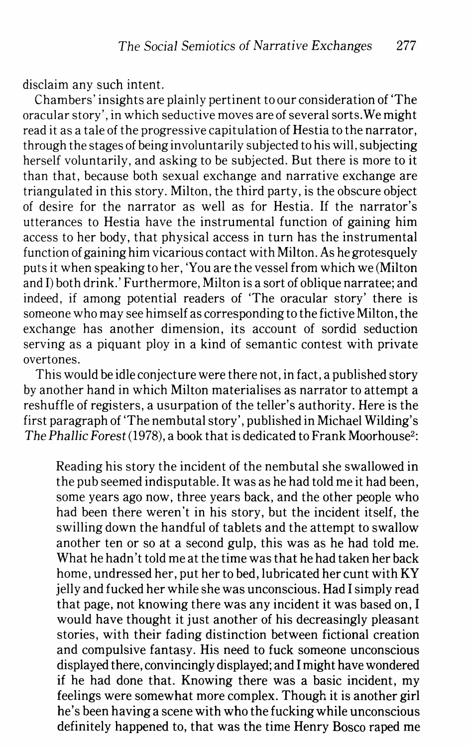disclaim any such intent.

Chambers' insights are plainly pertinent to our consideration of 'The oracular story', in which seductive moves are of several sorts.We might read it as a tale of the progressive capitulation of Hestia to the narrator, through the stages of being involuntarily subjected to his will, subjecting herself voluntarily, and asking to be subjected. But there is more to it than that, because both sexual exchange and narrative exchange are triangulated in this story. Milton, the third party, is the obscure object of desire for the narrator as well as for Hestia. If the narrator's utterances to Hestia have the instrumental function of gaining him access to her body, that physical access in turn has the instrumental function of gaining him vicarious contact with Milton. As he grotesquely puts it when speaking to her, 'You are the vessel from which we (Milton and I) both drink.' Furthermore, Milton is a sort of oblique narratee; and indeed, if among potential readers of 'The oracular story' there is someone who may see himself as corresponding to the fictive Milton, the exchange has another dimension, its account of sordid seduction serving as a piquant ploy in a kind of semantic contest with private overtones.

This would be idle conjecture were there not, in fact, a published story by another hand in which Milton materialises as narrator to attempt a reshuffle of registers, a usurpation of the teller's authority. Here is the first paragraph of 'The nembutal story', published in Michael Wilding's *The Phallic Forest* (1978), a book that is dedicated to Frank Moorhouse2:

Reading his story the incident of the nembutal she swallowed in the pub seemed indisputable. It was as he had told me it had been, some years ago now, three years back, and the other people who had been there weren't in his story, but the incident itself, the swilling down the handful of tablets and the attempt to swallow another ten or so at a second gulp, this was as he had told me. What he hadn't told me at the time was that he had taken her back home, undressed her, put her to bed, lubricated her cunt with KY jelly and tucked her while she was unconscious. Had I simply read that page, not knowing there was any incident it was based on, I would have thought it just another of his decreasingly pleasant stories, with their fading distinction between fictional creation and compulsive fantasy. His need to fuck someone unconscious displayed there, convincingly displayed; and I might have wondered if he had done that. Knowing there was a basic incident, my feelings were somewhat more complex. Though it is another girl he's been having a scene with who the fucking while unconscious definitely happened to, that was the time Henry Bosco raped me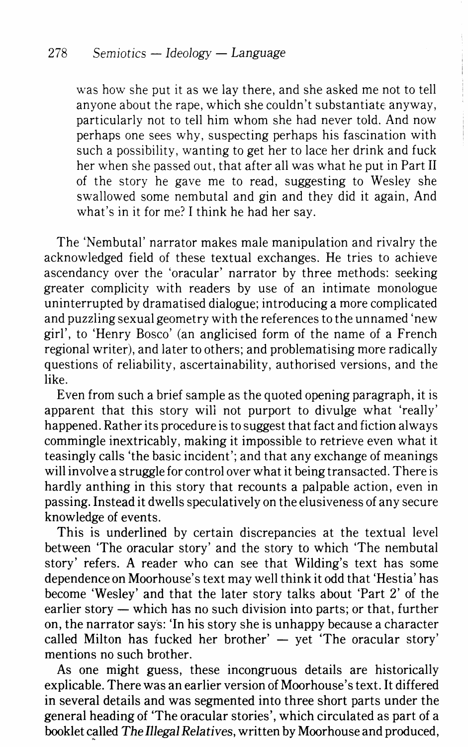was how she put it as we lay there, and she asked me not to tell anyone about the rape, which she couldn't substantiate anyway, particularly not to tell him whom she had never told. And now perhaps one sees why, suspecting perhaps his fascination with such a possibility, wanting to get her to lace her drink and fuck her when she passed out, that after all was what he put in Part II of the story he gave me to read, suggesting to Wesley she swallowed some nembutal and gin and they did it again, And what's in it for me? I think he had her say.

The 'Nembutal' narrator makes male manipulation and rivalry the acknowledged field of these textual exchanges. He tries to achieve ascendancy over the 'oracular' narrator by three methods: seeking greater complicity with readers by use of an intimate monologue uninterrupted by dramatised dialogue; introducing a more complicated and puzzling sexual geometry with the references to the unnamed 'new girl', to 'Henry Bosco' (an anglicised form of the name of a French regional writer), and later to others; and problematising more radically questions of reliability, ascertainability, authorised versions, and the like.

Even from such a brief sample as the quoted opening paragraph, it is apparent that this story wili not purport to divulge what 'really' happened. Rather its procedure is to suggest that fact and fiction always commingle inextricably, making it impossible to retrieve even what it teasingly calls 'the basic incident'; and that any exchange of meanings will involve a struggle for control over what it being transacted. There is hardly anthing in this story that recounts a palpable action, even in passing. Instead it dwells speculatively on the elusiveness of any secure knowledge of events.

This is underlined by certain discrepancies at the textual level between 'The oracular story' and the story to which 'The nembutal story' refers. A reader who can see that Wilding's text has some dependence on Moorhouse's text may well think it odd that 'Hestia' has become 'Wesley' and that the later story talks about 'Part 2' of the  $\alpha$  earlier story  $-$  which has no such division into parts; or that, further on, the narrator says: 'In his story she is unhappy because a character called Milton has fucked her brother'  $-$  yet 'The oracular story' mentions no such brother.

As one might guess, these incongruous details are historically explicable. There was an earlier version of Moorhouse's text. It differed in several details and was segmented into three short parts under the general heading of 'The oracular stories', which circulated as part of a booklet called *The Illegal Relatives*, written by Moorhouse and produced,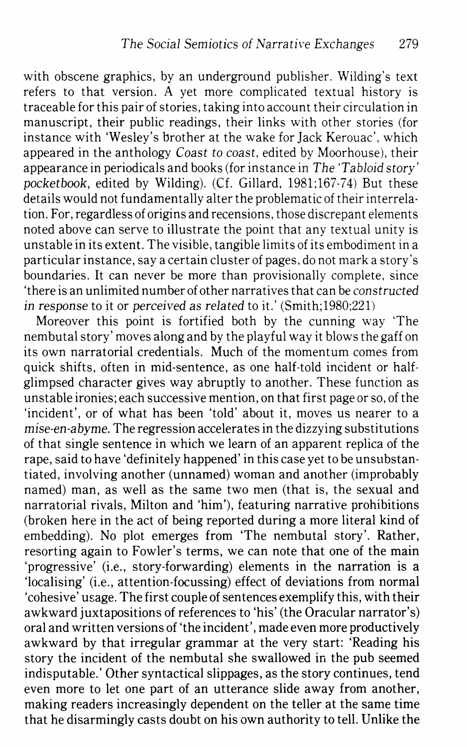with obscene graphics, by an underground publisher. Wilding's text refers to that version. A yet more complicated textual history is traceable for this pair of stories, taking into account their circulation in manuscript, their public readings, their links with other stories (for instance with 'Wesley's brother at the wake for Jack Kerouac', which appeared in the anthology Coast *to* coast, edited by Moorhouse), their appearance in periodicals and books (for instance in *The 'Tabloid* story' *pocketbook,* edited by Wilding). (Cf. Gillard, 1981;167-74) But these details would not fundamentally alter the problematic of their interrelation. For, regardless of origins and recensions, those discrepant elements noted above can serve to illustrate the point that any textual unity is unstable in its extent. The visible, tangible limits of its embodiment in a particular instance, say a certain cluster of pages, do not mark a story's boundaries. It can never be more than provisionally complete, since 'there is an unlimited number of other narratives that can be *constructed*  in response to it or perceived as *related* to it.' (Smith;1980;221)

Moreover this point is fortified both by the cunning way 'The nembutal story' moves along and by the playful way it blows the gaff on its own narratorial credentials. Much of the momentum comes from quick shifts, often in mid-sentence, as one half-told incident or halfglimpsed character gives way abruptly to another. These function as unstable ironies; each successive mention, on that first page or so, of the 'incident', or of what has been 'told' about it, moves us nearer to a mise-en-abyme. The regression accelerates in the dizzying substitutions of that single sentence in which we learn of an apparent replica of the rape, said to have 'definitely happened' in this case yet to be unsubstantiated, involving another (unnamed) woman and another (improbably named) man, as well as the same two men (that is, the sexual and narratorial rivals, Milton and 'him'), featuring narrative prohibitions (broken here in the act of being reported during a more literal kind of embedding). No plot emerges from 'The nembutal story'. Rather, resorting again to Fowler's terms, we can note that one of the main 'progressive' (i.e., story-forwarding) elements in the narration is a 'localising' (i.e., attention-focussing) effect of deviations from normal 'cohesive' usage. The first couple of sentences exemplify this, with their awkward juxtapositions of references to 'his' (the Oracular narrator's) oral and written versions of 'the incident', made even more productively awkward by that irregular grammar at the very start: 'Reading his story the incident of the nembutal she swallowed in the pub seemed indisputable.' Other syntactical slippages, as the story continues, tend even more to let one part of an utterance slide away from another, making readers increasingly dependent on the teller at the same time that he disarmingly casts doubt on his own authority to tell. Unlike the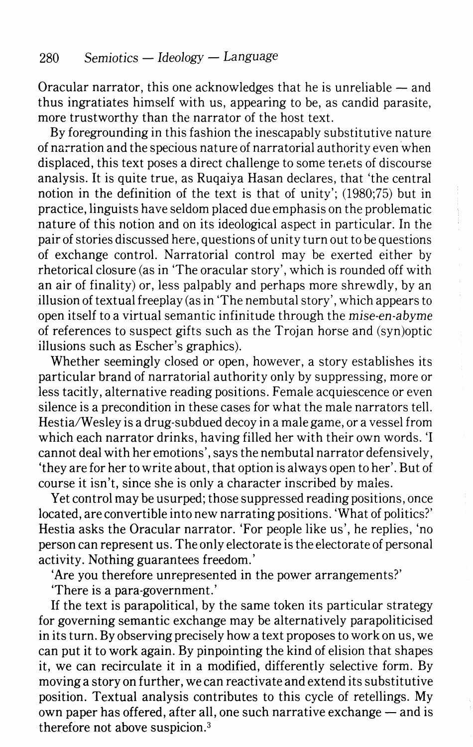Oracular narrator, this one acknowledges that he is unreliable  $-$  and thus ingratiates himself with us, appearing to be, as candid parasite, more trustworthy than the narrator of the host text.

By foregrounding in this fashion the inescapably substitutive nature of narration and the specious nature of narratorial authority even when displaced, this text poses a direct challenge to some tenets of discourse analysis. It is quite true, as Ruqaiya Hasan declares, that 'the central notion in the definition of the text is that of unity'; (1980;75) but in practice, linguists have seldom placed due emphasis on the problematic nature of this notion and on its ideological aspect in particular. In the pair of stories discussed here, questions of unity turn out to be questions of exchange control. Narratorial control may be exerted either by rhetorical closure (as in 'The oracular story', which is rounded off with an air of finality) or, less palpably and perhaps more shrewdly, by an illusion of textual freeplay (as in 'The nembutal story', which appears to open itself to a virtual semantic infinitude through the *mise-en-abyme*  of references to suspect gifts such as the Trojan horse and (syn)optic illusions such as Escher's graphics).

Whether seemingly closed or open, however, a story establishes its particular brand of narratorial authority only by suppressing, more or less tacitly, alternative reading positions. Female acquiescence or even silence is a precondition in these cases for what the male narrators tell. Hestia/Wesley is a drug-subdued decoy in a male game, or a vessel from which each narrator drinks, having filled her with their own words. 'I cannot deal with her emotions', says the nembutal narrator defensively, 'they are for her to write about, that option is always open to her'. But of course it isn't, since she is only a character inscribed by males.

Yet control may be usurped; those suppressed reading positions, once located, are convertible into new narrating positions. 'What of politics?' Hestia asks the Oracular narrator. 'For people like us', he replies, 'no person can represent us. The only electorate is the electorate of personal activity. Nothing guarantees freedom.'

'Are you therefore unrepresented in the power arrangements?'

'There is a para-government.'

If the text is parapolitical, by the same token its particular strategy for governing semantic exchange may be alternatively parapoliticised in its turn. By observing precisely how a text proposes to work on us, we can put it to work again. By pinpointing the kind of elision that shapes it, we can recirculate it in a modified, differently selective form. By moving a story on further, we can reactivate and extend its substitutive position. Textual analysis contributes to this cycle of retellings. My own paper has offered, after all, one such narrative exchange  $-$  and is therefore not above suspicion.3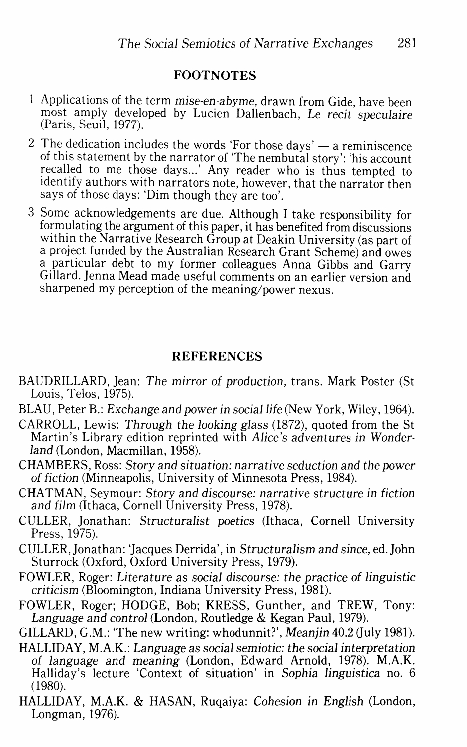## **FOOTNOTES**

- Applications of the term mise-en-abyme, drawn from Gide, have been most amply developed by Lucien Dallenbach, *Le recit speculaire* (Paris, Seuil, 1977).
- 2 The dedication includes the words 'For those days'  $-$  a reminiscence of this statement by the narrator of 'The nembutal story': 'his account recalled to me those days...' Any reader who is thus tempted to identify authors with narrators note, however, that the narrator then says of those days: 'Dim though they are too'.
- 3 Some acknowledgements are due. Although I take responsibility for formulating the argument of this paper, it has benefited from discussions a project funded by the Australian Research Grant Scheme) and owes a particular debt to my former colleagues Anna Gibbs and Garry Gillard. Jenna Mead made useful comments on an earlier version and sharpened my perception of the meaning/power nexus.

## **REFERENCES**

- BAUDRILLARD, Jean: *The* mirror *of* production, trans. Mark Poster (St Louis, Telos, 1975).
- BLAU, Peter B.: *Exchange and power in social life* (New York, Wiley, 1964).
- CARROLL, Lewis: *Through the* looking *glass* (1872), quoted from the St Martin's Library edition reprinted with *Alice's* adventures in Wonder*land* (London, Macmillan, 1958).
- CHAMBERS, Ross: *Story* and situation: narrative seduction *and the* power *of* fiction (Minneapolis, University of Minnesota Press, 1984).
- CHATMAN, Seymour: *Story and* discourse: narrative structure in fiction *and film* (Ithaca, Cornell University Press, 1978).
- CULLER, Jonathan: *Structuralist* poetics (Ithaca, Cornell University Press, 1975).
- CULLER, Jonathan: 'Jacques Derrida', in Structuralism *and* since, ed.John Sturrock (Oxford, Oxford University Press, 1979).
- FOWLER, Roger: Literature *as* social discourse: *the* practice *of* linguistic criticism (Bloomington, Indiana University Press, 1981).
- FOWLER, Roger; HODGE, Bob; KRESS, Gunther, and TREW, Tony: *Language and control* (London, Routledge & Kegan Paul, 1979).

GILLARD, G.M.: 'The new writing: whodunnit?', Meanjin 40.2 (July 1981).

- HALLIDAY, M.A.K.: Language *as* social semiotic: *the* social interpretation *of language and* meaning (London, Edward Arnold, 1978). M.A.K. Halliday's lecture 'Context of situation' in Sophia linguistica no. 6 (1980).
- HALLIDAY, M.A.K. & HASAN, Ruqaiya: Cohesion in *English* (London, Longman, 1976).